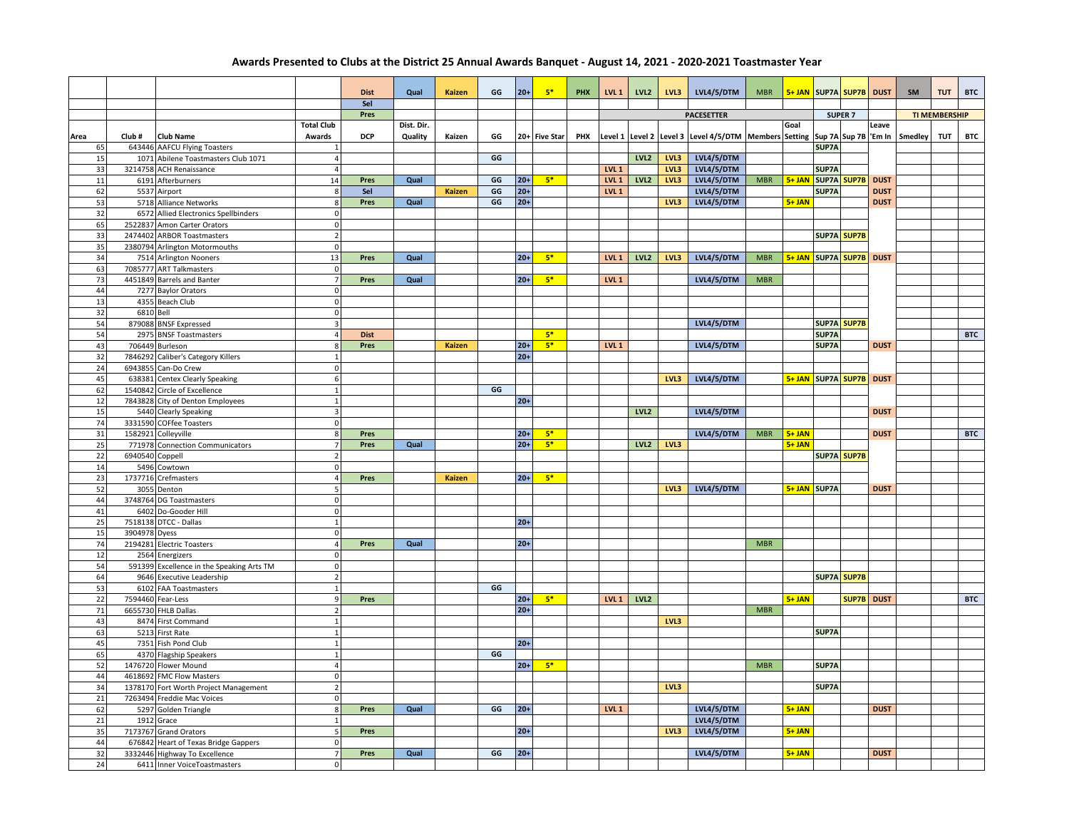## **Awards Presented to Clubs at the District 25 Annual Awards Banquet - August 14, 2021 - 2020-2021 Toastmaster Year**

|          |                 |                                                        |                                        | <b>Dist</b><br>Sel | Qual       | Kaizen        | GG       | $20+$          | $5*$          | <b>PHX</b> | LVL1             | LVL <sub>2</sub> | LVL3 | LVL4/5/DTM                                                                 | <b>MBR</b> |          |              | 5+ JAN SUP7A SUP7B DUST |             | SM      | <b>TUT</b>           | <b>BTC</b> |
|----------|-----------------|--------------------------------------------------------|----------------------------------------|--------------------|------------|---------------|----------|----------------|---------------|------------|------------------|------------------|------|----------------------------------------------------------------------------|------------|----------|--------------|-------------------------|-------------|---------|----------------------|------------|
|          |                 |                                                        |                                        | Pres               |            |               |          |                |               |            |                  |                  |      | <b>PACESETTER</b>                                                          |            |          |              | SUPER <sub>7</sub>      |             |         | <b>TI MEMBERSHIP</b> |            |
|          |                 |                                                        | <b>Total Club</b>                      |                    | Dist. Dir. |               |          |                |               |            |                  |                  |      |                                                                            |            | Goal     |              |                         | Leave       |         |                      |            |
| Area     | Club#           | <b>Club Name</b>                                       | Awards                                 | <b>DCP</b>         | Quality    | Kaizen        | GG       |                | 20+ Five Star | <b>PHX</b> |                  |                  |      | Level 1 Level 2 Level 3 Level 4/5/DTM Members Setting Sup 7A Sup 7B 'Em In |            |          |              |                         |             | Smedley | TUT                  | <b>BTC</b> |
| 65       | 643446          | <b>AAFCU Flying Toasters</b>                           |                                        |                    |            |               |          |                |               |            |                  |                  |      |                                                                            |            |          | SUP7A        |                         |             |         |                      |            |
| 15       |                 | 1071 Abilene Toastmasters Club 1071                    | $\overline{4}$                         |                    |            |               | GG       |                |               |            |                  | LVL <sub>2</sub> | LVL3 | LVL4/5/DTM                                                                 |            |          |              |                         |             |         |                      |            |
| 33       | 3214758         | <b>ACH Renaissance</b>                                 | 4 <sup>1</sup>                         |                    |            |               |          |                |               |            | LVL <sub>1</sub> |                  | LVL3 | LVL4/5/DTM                                                                 |            |          | SUP7A        |                         |             |         |                      |            |
| 11       | 6191            | Afterburners                                           | 14                                     | Pres               | Qual       |               | GG       | $20+$          | $5*$          |            | LVL <sub>1</sub> | LVL <sub>2</sub> | LVL3 | LVL4/5/DTM                                                                 | <b>MBR</b> | 5+ JAN   |              | <b>SUP7A SUP7B</b>      | <b>DUST</b> |         |                      |            |
| 62       | 5537            | Airport                                                | 8                                      | Sel                | Qual       | <b>Kaizen</b> | GG<br>GG | $20+$<br>$20+$ |               |            | LVL <sub>1</sub> |                  |      | LVL4/5/DTM                                                                 |            |          | SUP7A        |                         | <b>DUST</b> |         |                      |            |
| 53<br>32 | 5718            | <b>Alliance Networks</b>                               | 8                                      | Pres               |            |               |          |                |               |            |                  |                  | LVL3 | LVL4/5/DTM                                                                 |            | 5+ JAN   |              |                         | <b>DUST</b> |         |                      |            |
| 65       | 6572<br>2522837 | Allied Electronics Spellbinders<br>Amon Carter Orators | $\mathbf 0$<br>$\mathbf 0$             |                    |            |               |          |                |               |            |                  |                  |      |                                                                            |            |          |              |                         |             |         |                      |            |
| 33       | 2474402         | <b>ARBOR Toastmasters</b>                              | 2 <sup>1</sup>                         |                    |            |               |          |                |               |            |                  |                  |      |                                                                            |            |          |              | SUP7A SUP7B             |             |         |                      |            |
| 35       |                 | 2380794 Arlington Motormouths                          | $\circ$                                |                    |            |               |          |                |               |            |                  |                  |      |                                                                            |            |          |              |                         |             |         |                      |            |
| 34       |                 | 7514 Arlington Nooners                                 | 13                                     | Pres               | Qual       |               |          | $20+$          | $5*$          |            | LVL 1            | LVL <sub>2</sub> | LVL3 | LVL4/5/DTM                                                                 | <b>MBR</b> |          |              | 5+ JAN SUP7A SUP7B DUST |             |         |                      |            |
| 63       |                 | 7085777 ART Talkmasters                                | $\mathbf 0$                            |                    |            |               |          |                |               |            |                  |                  |      |                                                                            |            |          |              |                         |             |         |                      |            |
| 73       |                 | 4451849 Barrels and Banter                             | 7 <sup>1</sup>                         | Pres               | Qual       |               |          | $20+$          | $5*$          |            | LVL <sub>1</sub> |                  |      | LVL4/5/DTM                                                                 | <b>MBR</b> |          |              |                         |             |         |                      |            |
| 44       |                 | 7277 Baylor Orators                                    | $\mathbf{0}$                           |                    |            |               |          |                |               |            |                  |                  |      |                                                                            |            |          |              |                         |             |         |                      |            |
| 13       | 4355            | Beach Club                                             | $\circ$                                |                    |            |               |          |                |               |            |                  |                  |      |                                                                            |            |          |              |                         |             |         |                      |            |
| 32       | 6810 Bell       |                                                        | $\mathbf 0$                            |                    |            |               |          |                |               |            |                  |                  |      |                                                                            |            |          |              |                         |             |         |                      |            |
| 54       |                 | 879088 BNSF Expressed                                  | $\overline{3}$                         |                    |            |               |          |                |               |            |                  |                  |      | LVL4/5/DTM                                                                 |            |          |              | SUP7A SUP7B             |             |         |                      |            |
| 54       | 2975            | <b>BNSF Toastmasters</b>                               | $\overline{4}$                         | <b>Dist</b>        |            |               |          |                | $5*$          |            |                  |                  |      |                                                                            |            |          | SUP7A        |                         |             |         |                      | <b>BTC</b> |
| 43       | 706449          | <b>Burleson</b>                                        | $8\phantom{1}$                         | Pres               |            | <b>Kaizen</b> |          | $20+$          | $5*$          |            | LVL <sub>1</sub> |                  |      | LVL4/5/DTM                                                                 |            |          | SUP7A        |                         | <b>DUST</b> |         |                      |            |
| 32       | 7846292         | Caliber's Category Killers                             | $\mathbf{1}$                           |                    |            |               |          | $20+$          |               |            |                  |                  |      |                                                                            |            |          |              |                         |             |         |                      |            |
| 24       | 6943855         | Can-Do Crew                                            | $\circ$                                |                    |            |               |          |                |               |            |                  |                  |      |                                                                            |            |          |              |                         |             |         |                      |            |
| 45       | 638381          | <b>Centex Clearly Speaking</b>                         | $6 \overline{6}$                       |                    |            |               |          |                |               |            |                  |                  | LVL3 | LVL4/5/DTM                                                                 |            |          |              | 5+ JAN SUP7A SUP7B      | <b>DUST</b> |         |                      |            |
| 62       | 1540842         | Circle of Excellence                                   | 1                                      |                    |            |               | GG       |                |               |            |                  |                  |      |                                                                            |            |          |              |                         |             |         |                      |            |
| 12       | 7843828         | City of Denton Employees                               | $\mathbf{1}$                           |                    |            |               |          | $20+$          |               |            |                  | LVL <sub>2</sub> |      |                                                                            |            |          |              |                         |             |         |                      |            |
| 15<br>74 | 5440<br>3331590 | <b>Clearly Speaking</b>                                | $\overline{\mathbf{3}}$<br>$\mathbf 0$ |                    |            |               |          |                |               |            |                  |                  |      | LVL4/5/DTM                                                                 |            |          |              |                         | <b>DUST</b> |         |                      |            |
| 31       | 1582921         | <b>COFfee Toasters</b><br>Colleyville                  | $\boldsymbol{8}$                       | Pres               |            |               |          | $20+$          | $5*$          |            |                  |                  |      | LVL4/5/DTM                                                                 | <b>MBR</b> | 5+ JAN   |              |                         | <b>DUST</b> |         |                      | <b>BTC</b> |
| 25       | 771978          | <b>Connection Communicators</b>                        | $\overline{7}$                         | Pres               | Qual       |               |          | $20+$          | $5*$          |            |                  | LVL <sub>2</sub> | LVL3 |                                                                            |            | $5+$ JAN |              |                         |             |         |                      |            |
| 22       | 6940540         | Coppell                                                | $\overline{2}$                         |                    |            |               |          |                |               |            |                  |                  |      |                                                                            |            |          |              | SUP7A SUP7B             |             |         |                      |            |
| 14       | 5496            | Cowtown                                                | $\mathbf 0$                            |                    |            |               |          |                |               |            |                  |                  |      |                                                                            |            |          |              |                         |             |         |                      |            |
| 23       | 1737716         | Crefmasters                                            | $\overline{a}$                         | Pres               |            | <b>Kaizen</b> |          | $20+$          | $5*$          |            |                  |                  |      |                                                                            |            |          |              |                         |             |         |                      |            |
| 52       | 3055            | Denton                                                 | $5\overline{)}$                        |                    |            |               |          |                |               |            |                  |                  | LVL3 | LVL4/5/DTM                                                                 |            |          | 5+ JAN SUP7A |                         | <b>DUST</b> |         |                      |            |
| 44       |                 | 3748764 DG Toastmasters                                | $\circ$                                |                    |            |               |          |                |               |            |                  |                  |      |                                                                            |            |          |              |                         |             |         |                      |            |
| 41       |                 | 6402 Do-Gooder Hill                                    | $\circ$                                |                    |            |               |          |                |               |            |                  |                  |      |                                                                            |            |          |              |                         |             |         |                      |            |
| 25       |                 | 7518138 DTCC - Dallas                                  | $1\overline{ }$                        |                    |            |               |          | $20+$          |               |            |                  |                  |      |                                                                            |            |          |              |                         |             |         |                      |            |
| 15       | 3904978         | <b>Dyess</b>                                           | $\circ$                                |                    |            |               |          |                |               |            |                  |                  |      |                                                                            |            |          |              |                         |             |         |                      |            |
| 74       |                 | 2194281 Electric Toasters                              | 4 <sup>1</sup>                         | Pres               | Qual       |               |          | $20+$          |               |            |                  |                  |      |                                                                            | <b>MBR</b> |          |              |                         |             |         |                      |            |
| 12       |                 | 2564 Energizers                                        | $\mathbf{0}$                           |                    |            |               |          |                |               |            |                  |                  |      |                                                                            |            |          |              |                         |             |         |                      |            |
| 54       |                 | 591399 Excellence in the Speaking Arts TM              | $\mathbf{0}$                           |                    |            |               |          |                |               |            |                  |                  |      |                                                                            |            |          |              |                         |             |         |                      |            |
| 64<br>53 | 6102            | 9646 Executive Leadership                              | 2 <sup>1</sup><br>$1\vert$             |                    |            |               | GG       |                |               |            |                  |                  |      |                                                                            |            |          |              | SUP7A SUP7B             |             |         |                      |            |
| 22       | 7594460         | <b>FAA Toastmasters</b><br>Fear-Less                   | $\overline{9}$                         | Pres               |            |               |          | $20+$          | $5*$          |            | LVL <sub>1</sub> | LVL <sub>2</sub> |      |                                                                            |            | 5+ JAN   |              | SUP7B DUST              |             |         |                      | <b>BTC</b> |
| 71       |                 | 6655730 FHLB Dallas                                    | 2                                      |                    |            |               |          | $20+$          |               |            |                  |                  |      |                                                                            | <b>MBR</b> |          |              |                         |             |         |                      |            |
| 43       |                 | 8474 First Command                                     | $1\overline{ }$                        |                    |            |               |          |                |               |            |                  |                  | LVL3 |                                                                            |            |          |              |                         |             |         |                      |            |
| 63       | 5213            | <b>First Rate</b>                                      | $1\overline{ }$                        |                    |            |               |          |                |               |            |                  |                  |      |                                                                            |            |          | SUP7A        |                         |             |         |                      |            |
| 45       | 7351            | Fish Pond Club                                         | $1\vert$                               |                    |            |               |          | $20+$          |               |            |                  |                  |      |                                                                            |            |          |              |                         |             |         |                      |            |
| 65       | 4370            | <b>Flagship Speakers</b>                               | $1\overline{ }$                        |                    |            |               | GG       |                |               |            |                  |                  |      |                                                                            |            |          |              |                         |             |         |                      |            |
| 52       |                 | 1476720 Flower Mound                                   | $\overline{4}$                         |                    |            |               |          | $20+$          | $5*$          |            |                  |                  |      |                                                                            | <b>MBR</b> |          | SUP7A        |                         |             |         |                      |            |
| 44       | 4618692         | <b>FMC Flow Masters</b>                                | $\overline{0}$                         |                    |            |               |          |                |               |            |                  |                  |      |                                                                            |            |          |              |                         |             |         |                      |            |
| 34       | 1378170         | Fort Worth Project Management                          | $\overline{2}$                         |                    |            |               |          |                |               |            |                  |                  | LVL3 |                                                                            |            |          | SUP7A        |                         |             |         |                      |            |
| 21       |                 | 7263494 Freddie Mac Voices                             | $\mathbf 0$                            |                    |            |               |          |                |               |            |                  |                  |      |                                                                            |            |          |              |                         |             |         |                      |            |
| 62       | 5297            | Golden Triangle                                        | $\boldsymbol{8}$                       | Pres               | Qual       |               | GG       | $20+$          |               |            | LVL <sub>1</sub> |                  |      | LVL4/5/DTM                                                                 |            | 5+ JAN   |              |                         | <b>DUST</b> |         |                      |            |
| 21       | 1912            | Grace                                                  | $1\overline{ }$                        |                    |            |               |          |                |               |            |                  |                  |      | LVL4/5/DTM                                                                 |            |          |              |                         |             |         |                      |            |
| 35       | 7173767         | <b>Grand Orators</b>                                   | $\overline{5}$                         | Pres               |            |               |          | $20+$          |               |            |                  |                  | LVL3 | LVL4/5/DTM                                                                 |            | $5+JAN$  |              |                         |             |         |                      |            |
| 44       | 67684           | Heart of Texas Bridge Gappers                          | $\mathbf 0$                            |                    |            |               |          |                |               |            |                  |                  |      |                                                                            |            |          |              |                         |             |         |                      |            |
| 32       |                 | 3332446 Highway To Excellence                          | $7\overline{ }$                        | Pres               | Qual       |               | GG       | $20+$          |               |            |                  |                  |      | LVL4/5/DTM                                                                 |            | $5+JAN$  |              |                         | <b>DUST</b> |         |                      |            |
| 24       |                 | 6411 Inner VoiceToastmasters                           | $\mathbf 0$                            |                    |            |               |          |                |               |            |                  |                  |      |                                                                            |            |          |              |                         |             |         |                      |            |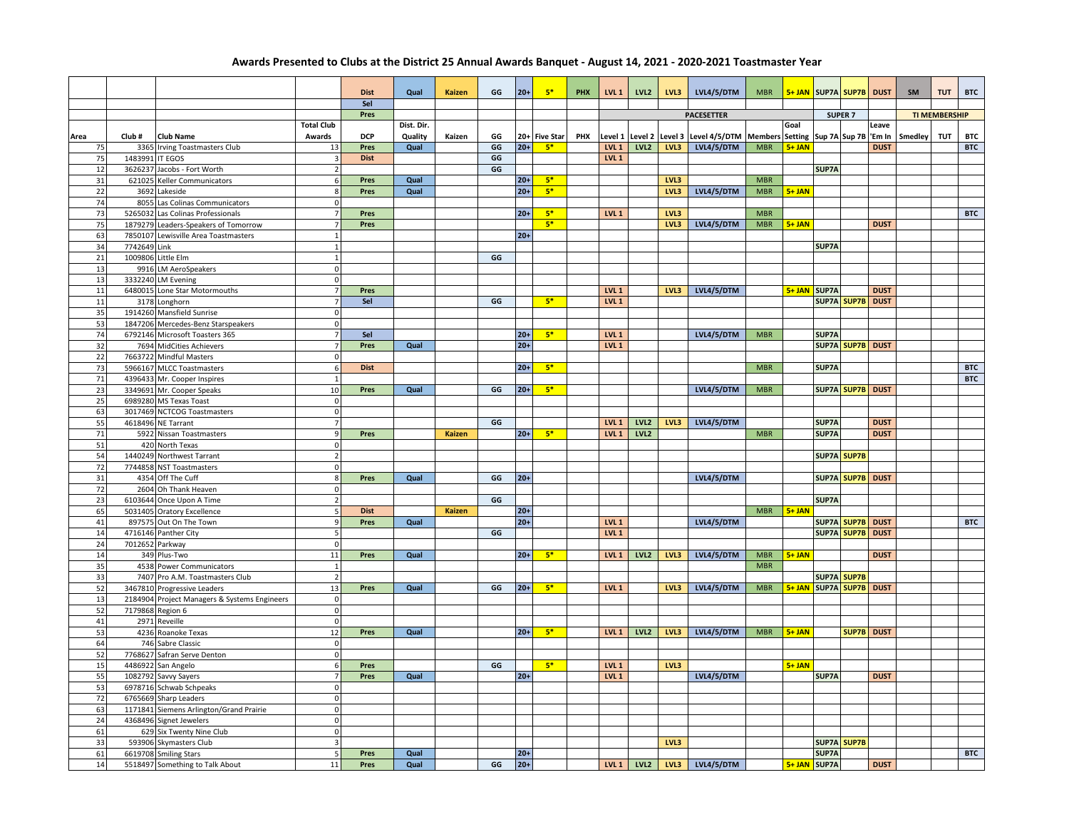## **Awards Presented to Clubs at the District 25 Annual Awards Banquet - August 14, 2021 - 2020-2021 Toastmaster Year**

|          |                  |                                                                             |                                  | <b>Dist</b><br>Sel | Qual       | Kaizen        | GG | $20+$ | $5*$          | <b>PHX</b> | LVL1                                 | LVL <sub>2</sub> | LVL3            | LVL4/5/DTM        | <b>MBR</b>                           |              |       | 5+ JAN SUP7A SUP7B DUST |             | SM             | <b>TUT</b>           | <b>BTC</b> |
|----------|------------------|-----------------------------------------------------------------------------|----------------------------------|--------------------|------------|---------------|----|-------|---------------|------------|--------------------------------------|------------------|-----------------|-------------------|--------------------------------------|--------------|-------|-------------------------|-------------|----------------|----------------------|------------|
|          |                  |                                                                             |                                  | Pres               |            |               |    |       |               |            |                                      |                  |                 | <b>PACESETTER</b> |                                      |              |       | SUPER <sub>7</sub>      |             |                | <b>TI MEMBERSHIP</b> |            |
|          |                  |                                                                             | <b>Total Club</b>                |                    | Dist. Dir. |               |    |       |               |            |                                      |                  |                 |                   |                                      | Goal         |       |                         | Leave       |                |                      |            |
| Area     | Club#            | <b>Club Name</b>                                                            | Awards                           | <b>DCP</b>         | Quality    | Kaizen        | GG |       | 20+ Five Star | <b>PHX</b> | Level 1                              |                  | Level 2 Level 3 | Level 4/5/DTM     | Members Setting Sup 7A Sup 7B 'Em In |              |       |                         |             | <b>Smedley</b> | <b>TUT</b>           | <b>BTC</b> |
| 75       | 3365             | <b>Irving Toastmasters Club</b>                                             | 13                               | Pres               | Qual       |               | GG | $20+$ | $5*$          |            | LVL <sub>1</sub>                     | LVL <sub>2</sub> | LVL3            | LVL4/5/DTM        | <b>MBR</b>                           | $5+JAN$      |       |                         | <b>DUST</b> |                |                      | <b>BTC</b> |
| 75       | 1483991          | IT EGOS                                                                     | $\overline{3}$                   | <b>Dist</b>        |            |               | G  |       |               |            | LVL1                                 |                  |                 |                   |                                      |              |       |                         |             |                |                      |            |
| 12       | 3626237          | Jacobs - Fort Worth                                                         | $\overline{2}$                   |                    |            |               | GG |       |               |            |                                      |                  |                 |                   |                                      |              | SUP7A |                         |             |                |                      |            |
| 31       | 621025           | <b>Keller Communicators</b>                                                 | 6                                | Pres               | Qual       |               |    | $20+$ | $5*$          |            |                                      |                  | LVL3            |                   | <b>MBR</b>                           |              |       |                         |             |                |                      |            |
| 22       | 3692             | Lakeside                                                                    | 8                                | Pres               | Qual       |               |    | $20+$ | $5*$          |            |                                      |                  | LVL3            | LVL4/5/DTM        | <b>MBR</b>                           | $5+JAN$      |       |                         |             |                |                      |            |
| 74       | 8055             | as Colinas Communicators                                                    | $\mathbf 0$                      |                    |            |               |    |       |               |            |                                      |                  |                 |                   |                                      |              |       |                         |             |                |                      |            |
| 73       | 5265032          | Las Colinas Professionals                                                   | $7\overline{}$                   | Pres               |            |               |    | $20+$ | $5*$          |            | LVL <sub>1</sub>                     |                  | LVL3            |                   | <b>MBR</b>                           |              |       |                         |             |                |                      | <b>BTC</b> |
| 75       | 1879279          | Leaders-Speakers of Tomorrow                                                | $7 \overline{ }$                 | Pres               |            |               |    |       | $5*$          |            |                                      |                  | LVL3            | LVL4/5/DTM        | <b>MBR</b>                           | $5+$ JAN     |       |                         | <b>DUST</b> |                |                      |            |
| 63       | 7850107          | Lewisville Area Toastmasters                                                | $\mathbf{1}$                     |                    |            |               |    | $20+$ |               |            |                                      |                  |                 |                   |                                      |              |       |                         |             |                |                      |            |
| 34       | 7742649 Link     |                                                                             | $1\overline{ }$                  |                    |            |               |    |       |               |            |                                      |                  |                 |                   |                                      |              | SUP7A |                         |             |                |                      |            |
| 21       | 1009806          | Little Elm                                                                  | $1\overline{ }$                  |                    |            |               | GG |       |               |            |                                      |                  |                 |                   |                                      |              |       |                         |             |                |                      |            |
| 13       | 9916             | <b>LM AeroSpeakers</b>                                                      | $\mathbf 0$                      |                    |            |               |    |       |               |            |                                      |                  |                 |                   |                                      |              |       |                         |             |                |                      |            |
| 13       | 3332240          | <b>LM Evening</b>                                                           | $\mathbf 0$                      |                    |            |               |    |       |               |            |                                      |                  |                 |                   |                                      |              |       |                         |             |                |                      |            |
| 11       | 6480015          | Lone Star Motormouths                                                       | 7 <sup>1</sup>                   | Pres               |            |               |    |       |               |            | LVL <sub>1</sub>                     |                  | LVL3            | LVL4/5/DTM        |                                      | 5+ JAN SUP7A |       |                         | <b>DUST</b> |                |                      |            |
| 11       |                  | 3178 Longhorn                                                               | $\overline{7}$                   | Sel                |            |               | GG |       | $5*$          |            | LVL <sub>1</sub>                     |                  |                 |                   |                                      |              |       | SUP7A SUP7B             | <b>DUST</b> |                |                      |            |
| 35       |                  | 1914260 Mansfield Sunrise                                                   | $\mathbf 0$                      |                    |            |               |    |       |               |            |                                      |                  |                 |                   |                                      |              |       |                         |             |                |                      |            |
| 53       |                  | 1847206 Mercedes-Benz Starspeakers                                          | $\circ$                          |                    |            |               |    | $20+$ |               |            |                                      |                  |                 |                   |                                      |              | SUP7A |                         |             |                |                      |            |
| 74       |                  | 6792146 Microsoft Toasters 365                                              | $\overline{7}$<br>7 <sup>1</sup> | Sel<br>Pres        | Qual       |               |    | $20+$ | $5*$          |            | LVL <sub>1</sub><br>LVL <sub>1</sub> |                  |                 | LVL4/5/DTM        | <b>MBR</b>                           |              |       | SUP7A SUP7B DUST        |             |                |                      |            |
| 32<br>22 | 7663722          | 7694 MidCities Achievers<br><b>Mindful Masters</b>                          | $\mathbf 0$                      |                    |            |               |    |       |               |            |                                      |                  |                 |                   |                                      |              |       |                         |             |                |                      |            |
| 73       |                  | 5966167 MLCC Toastmasters                                                   | 6                                | <b>Dist</b>        |            |               |    | $20+$ | $5*$          |            |                                      |                  |                 |                   | <b>MBR</b>                           |              | SUP7A |                         |             |                |                      | <b>BTC</b> |
| 71       |                  | 4396433 Mr. Cooper Inspires                                                 | $\mathbf{1}$                     |                    |            |               |    |       |               |            |                                      |                  |                 |                   |                                      |              |       |                         |             |                |                      | <b>BTC</b> |
| 23       |                  | 3349691 Mr. Cooper Speaks                                                   | 10                               | Pres               | Qual       |               | GG | $20+$ | $5*$          |            |                                      |                  |                 | LVL4/5/DTM        | <b>MBR</b>                           |              |       | SUP7A SUP7B DUST        |             |                |                      |            |
| 25       |                  | 6989280 MS Texas Toast                                                      | $\mathbf 0$                      |                    |            |               |    |       |               |            |                                      |                  |                 |                   |                                      |              |       |                         |             |                |                      |            |
| 63       |                  | 3017469 NCTCOG Toastmasters                                                 | $\circ$                          |                    |            |               |    |       |               |            |                                      |                  |                 |                   |                                      |              |       |                         |             |                |                      |            |
| 55       |                  | 4618496 NE Tarrant                                                          | $\overline{7}$                   |                    |            |               | GG |       |               |            | LVL <sub>1</sub>                     | LVL <sub>2</sub> | LVL3            | LVL4/5/DTM        |                                      |              | SUP7A |                         | <b>DUST</b> |                |                      |            |
| 71       | 5922             | Nissan Toastmasters                                                         | $\overline{9}$                   | Pres               |            | <b>Kaizen</b> |    | $20+$ | $5*$          |            | LVL <sub>1</sub>                     | LVL <sub>2</sub> |                 |                   | <b>MBR</b>                           |              | SUP7A |                         | <b>DUST</b> |                |                      |            |
| 51       | 420              | <b>North Texas</b>                                                          | $\mathbf{0}$                     |                    |            |               |    |       |               |            |                                      |                  |                 |                   |                                      |              |       |                         |             |                |                      |            |
| 54       |                  | 1440249 Northwest Tarrant                                                   | $\overline{2}$                   |                    |            |               |    |       |               |            |                                      |                  |                 |                   |                                      |              |       | SUP7A SUP7B             |             |                |                      |            |
| 72       | 7744858          | <b>NST Toastmasters</b>                                                     | $\mathbf{0}$                     |                    |            |               |    |       |               |            |                                      |                  |                 |                   |                                      |              |       |                         |             |                |                      |            |
| 31       | 4354             | Off The Cuff                                                                | $\boldsymbol{8}$                 | Pres               | Qual       |               | GG | $20+$ |               |            |                                      |                  |                 | LVL4/5/DTM        |                                      |              |       | SUP7A SUP7B DUST        |             |                |                      |            |
| 72       | 2604             | Oh Thank Heaven                                                             | $\mathbf 0$                      |                    |            |               |    |       |               |            |                                      |                  |                 |                   |                                      |              |       |                         |             |                |                      |            |
| 23       |                  | 6103644 Once Upon A Time                                                    | $\overline{2}$                   |                    |            |               | GG |       |               |            |                                      |                  |                 |                   |                                      |              | SUP7A |                         |             |                |                      |            |
| 65       |                  | 5031405 Oratory Excellence                                                  | 5                                | <b>Dist</b>        |            | <b>Kaizen</b> |    | $20+$ |               |            |                                      |                  |                 |                   | <b>MBR</b>                           | 5+ JAN       |       |                         |             |                |                      |            |
| 41       | 897575           | Out On The Town                                                             | 9                                | Pres               | Qual       |               |    | $20+$ |               |            | LVL <sub>1</sub>                     |                  |                 | LVL4/5/DTM        |                                      |              |       | SUP7A SUP7B             | <b>DUST</b> |                |                      | <b>BTC</b> |
| 14       |                  | 4716146 Panther City                                                        | 5                                |                    |            |               | GG |       |               |            | LVL <sub>1</sub>                     |                  |                 |                   |                                      |              |       | SUP7A SUP7B             | <b>DUST</b> |                |                      |            |
| 24       | 7012652 Parkway  |                                                                             | $\circ$                          |                    |            |               |    |       |               |            |                                      |                  |                 |                   |                                      |              |       |                         |             |                |                      |            |
| 14       |                  | 349 Plus-Two                                                                | 11                               | Pres               | Qual       |               |    | $20+$ | $5*$          |            | LVL <sub>1</sub>                     | LVL <sub>2</sub> | LVL3            | LVL4/5/DTM        | <b>MBR</b>                           | $5+JAN$      |       |                         | <b>DUST</b> |                |                      |            |
| 35       | 4538             | Power Communicators                                                         | $\mathbf{1}$<br>$\overline{2}$   |                    |            |               |    |       |               |            |                                      |                  |                 |                   | <b>MBR</b>                           |              |       | SUP7A SUP7B             |             |                |                      |            |
| 33       |                  | 7407 Pro A.M. Toastmasters Club                                             | 13                               | Pres               | Qual       |               | GG | $20+$ | $5*$          |            | LVL <sub>1</sub>                     |                  | LVL3            | LVL4/5/DTM        | <b>MBR</b>                           |              |       | 5+ JAN SUP7A SUP7B DUST |             |                |                      |            |
| 52<br>13 |                  | 3467810 Progressive Leaders<br>2184904 Project Managers & Systems Engineers | $\mathbf 0$                      |                    |            |               |    |       |               |            |                                      |                  |                 |                   |                                      |              |       |                         |             |                |                      |            |
| 52       | 7179868 Region 6 |                                                                             | $\circ$                          |                    |            |               |    |       |               |            |                                      |                  |                 |                   |                                      |              |       |                         |             |                |                      |            |
| 41       | 2971             | Reveille                                                                    | $\circ$                          |                    |            |               |    |       |               |            |                                      |                  |                 |                   |                                      |              |       |                         |             |                |                      |            |
| 53       |                  | 4236 Roanoke Texas                                                          | 12                               | Pres               | Qual       |               |    | $20+$ | $5*$          |            | LVL1                                 | LVL <sub>2</sub> | LVL3            | LVL4/5/DTM        | <b>MBR</b>                           | $5+JAN$      |       | SUP7B DUST              |             |                |                      |            |
| 64       | 746              | Sabre Classic                                                               | $\mathbf 0$                      |                    |            |               |    |       |               |            |                                      |                  |                 |                   |                                      |              |       |                         |             |                |                      |            |
| 52       | 7768627          | Safran Serve Denton                                                         | $\circ$                          |                    |            |               |    |       |               |            |                                      |                  |                 |                   |                                      |              |       |                         |             |                |                      |            |
| 15       |                  | 4486922 San Angelo                                                          | $\sqrt{6}$                       | Pres               |            |               | GG |       | $5*$          |            | LVL <sub>1</sub>                     |                  | LVL3            |                   |                                      | $5+JAN$      |       |                         |             |                |                      |            |
| 55       | 1082792          | Savvy Sayers                                                                | 7 <sup>1</sup>                   | Pres               | Qual       |               |    | $20+$ |               |            | LVL <sub>1</sub>                     |                  |                 | LVL4/5/DTM        |                                      |              | SUP7A |                         | <b>DUST</b> |                |                      |            |
| 53       |                  | 6978716 Schwab Schpeaks                                                     | $\circ$                          |                    |            |               |    |       |               |            |                                      |                  |                 |                   |                                      |              |       |                         |             |                |                      |            |
| 72       |                  | 6765669 Sharp Leaders                                                       | $\circ$                          |                    |            |               |    |       |               |            |                                      |                  |                 |                   |                                      |              |       |                         |             |                |                      |            |
| 63       |                  | 1171841 Siemens Arlington/Grand Prairie                                     | $\circ$                          |                    |            |               |    |       |               |            |                                      |                  |                 |                   |                                      |              |       |                         |             |                |                      |            |
| 24       |                  | 4368496 Signet Jewelers                                                     | $\circ$                          |                    |            |               |    |       |               |            |                                      |                  |                 |                   |                                      |              |       |                         |             |                |                      |            |
| 61       |                  | 629 Six Twenty Nine Club                                                    | $\mathbf 0$                      |                    |            |               |    |       |               |            |                                      |                  |                 |                   |                                      |              |       |                         |             |                |                      |            |
| 33       | 593906           | <b>Skymasters Club</b>                                                      | $\overline{\mathbf{3}}$          |                    |            |               |    |       |               |            |                                      |                  | LVL3            |                   |                                      |              |       | SUP7A SUP7B             |             |                |                      |            |
| 61       |                  | 6619708 Smiling Stars                                                       | 5                                | Pres               | Qual       |               |    | $20+$ |               |            |                                      |                  |                 |                   |                                      |              | SUP7A |                         |             |                |                      | <b>BTC</b> |
| 14       |                  | 5518497 Something to Talk About                                             | 11                               | Pres               | Qual       |               | GG | $20+$ |               |            | LVL1                                 | LVL <sub>2</sub> | LVL3            | LVL4/5/DTM        |                                      | 5+ JAN SUP7A |       |                         | <b>DUST</b> |                |                      |            |